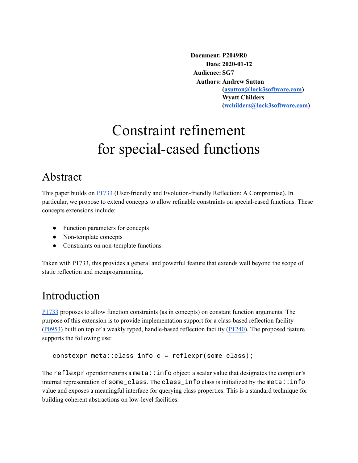**Document: P2049R0 Date: 2020-01-12 Audience: SG7 Authors: Andrew Sutton ([asutton@lock3software.com\)](mailto:asutton@lock3software.com) Wyatt Childers ([wchilders@lock3software.com](mailto:wchilders@lock3software.com))**

# Constraint refinement for special-cased functions

### Abstract

This paper builds on [P1733](https://wg21.link/p1733) (User-friendly and Evolution-friendly Reflection: A Compromise). In particular, we propose to extend concepts to allow refinable constraints on special-cased functions. These concepts extensions include:

- Function parameters for concepts
- Non-template concepts
- Constraints on non-template functions

Taken with P1733, this provides a general and powerful feature that extends well beyond the scope of static reflection and metaprogramming.

### Introduction

[P1733](https://wg21.link/p1733) proposes to allow function constraints (as in concepts) on constant function arguments. The purpose of this extension is to provide implementation support for a class-based reflection facility ([P0953\)](https://wg21.link/p0953) built on top of a weakly typed, handle-based reflection facility ([P1240](https://wg21.link/p1240)). The proposed feature supports the following use:

```
constexpr meta::class_info c = reflexpr(some_class);
```
The reflexpr operator returns a meta::info object: a scalar value that designates the compiler's internal representation of some\_class. The class\_info class is initialized by the meta::info value and exposes a meaningful interface for querying class properties. This is a standard technique for building coherent abstractions on low-level facilities.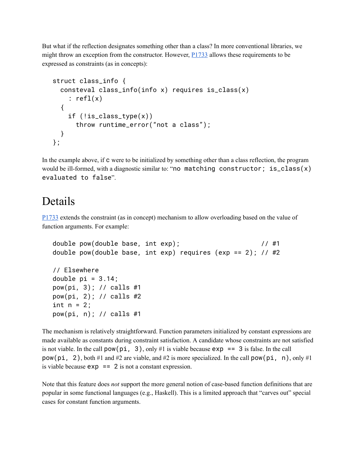But what if the reflection designates something other than a class? In more conventional libraries, we might throw an exception from the constructor. However,  $P1733$  allows these requirements to be expressed as constraints (as in concepts):

```
struct class_info {
  consteval class_info(info x) requires is_class(x)
    : refl(x){
    if (lis_class_type(x))throw runtime_error("not a class");
 }
};
```
In the example above, if c were to be initialized by something other than a class reflection, the program would be ill-formed, with a diagnostic similar to: "no matching constructor; is\_class(x) evaluated to false".

#### Details

[P1733](https://wg21.link/p1733) extends the constraint (as in concept) mechanism to allow overloading based on the value of function arguments. For example:

```
double pow(double base, int exp); \frac{1}{41}double pow(double base, int exp) requires (exp == 2); // #2
// Elsewhere
double pi = 3.14;
pow(pi, 3); // calls #1
pow(pi, 2); // calls #2
int n = 2;
pow(pi, n); // calls #1
```
The mechanism is relatively straightforward. Function parameters initialized by constant expressions are made available as constants during constraint satisfaction. A candidate whose constraints are not satisfied is not viable. In the call  $pow(p_1, 3)$ , only #1 is viable because  $exp == 3$  is false. In the call pow(pi, 2), both #1 and #2 are viable, and #2 is more specialized. In the call pow(pi, n), only #1 is viable because  $exp = 2$  is not a constant expression.

Note that this feature does *not* support the more general notion of case-based function definitions that are popular in some functional languages (e.g., Haskell). This is a limited approach that "carves out" special cases for constant function arguments.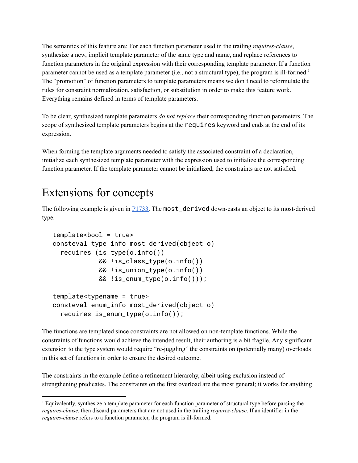The semantics of this feature are: For each function parameter used in the trailing *requires-clause*, synthesize a new, implicit template parameter of the same type and name, and replace references to function parameters in the original expression with their corresponding template parameter. If a function parameter cannot be used as a template parameter (i.e., not a structural type), the program is ill-formed.<sup>1</sup> The "promotion" of function parameters to template parameters means we don't need to reformulate the rules for constraint normalization, satisfaction, or substitution in order to make this feature work. Everything remains defined in terms of template parameters.

To be clear, synthesized template parameters *do not replace* their corresponding function parameters. The scope of synthesized template parameters begins at the requires keyword and ends at the end of its expression.

When forming the template arguments needed to satisfy the associated constraint of a declaration, initialize each synthesized template parameter with the expression used to initialize the corresponding function parameter. If the template parameter cannot be initialized, the constraints are not satisfied.

### Extensions for concepts

The following example is given in **P1733**. The most\_derived down-casts an object to its most-derived type.

```
template<bool = true>
consteval type_info most_derived(object o)
  requires (is_type(o.info())
            && !is_class_type(o.info())
            && !is_union_type(o.info())
            && !is_enum_type(o.info()));
template<typename = true>
consteval enum_info most_derived(object o)
```

```
requires is_enum_type(o.info());
```
The functions are templated since constraints are not allowed on non-template functions. While the constraints of functions would achieve the intended result, their authoring is a bit fragile. Any significant extension to the type system would require "re-juggling" the constraints on (potentially many) overloads in this set of functions in order to ensure the desired outcome.

The constraints in the example define a refinement hierarchy, albeit using exclusion instead of strengthening predicates. The constraints on the first overload are the most general; it works for anything

<sup>1</sup> Equivalently, synthesize a template parameter for each function parameter of structural type before parsing the *requires-clause*, then discard parameters that are not used in the trailing *requires-clause*. If an identifier in the *requires-clause* refers to a function parameter, the program is ill-formed.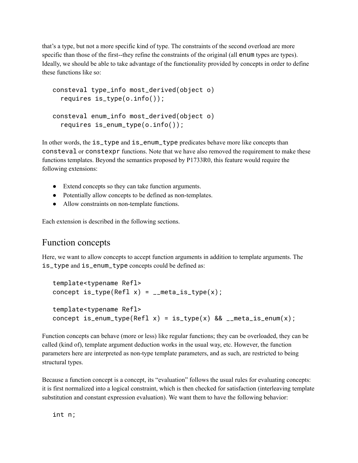that's a type, but not a more specific kind of type. The constraints of the second overload are more specific than those of the first--they refine the constraints of the original (all enum types are types). Ideally, we should be able to take advantage of the functionality provided by concepts in order to define these functions like so:

```
consteval type_info most_derived(object o)
  requires is_type(o.info());
consteval enum_info most_derived(object o)
  requires is_enum_type(o.info());
```
In other words, the is\_type and is\_enum\_type predicates behave more like concepts than consteval or constexpr functions. Note that we have also removed the requirement to make these functions templates. Beyond the semantics proposed by P1733R0, this feature would require the following extensions:

- Extend concepts so they can take function arguments.
- Potentially allow concepts to be defined as non-templates.
- Allow constraints on non-template functions.

Each extension is described in the following sections.

#### Function concepts

Here, we want to allow concepts to accept function arguments in addition to template arguments. The is\_type and is\_enum\_type concepts could be defined as:

```
template<typename Refl>
concept is_type(Refl x) = _{-}meta_is_type(x);
template<typename Refl>
concept is_enum_type(Refl x) = is_type(x) && __meta_is_enum(x);
```
Function concepts can behave (more or less) like regular functions; they can be overloaded, they can be called (kind of), template argument deduction works in the usual way, etc. However, the function parameters here are interpreted as non-type template parameters, and as such, are restricted to being structural types.

Because a function concept is a concept, its "evaluation" follows the usual rules for evaluating concepts: it is first normalized into a logical constraint, which is then checked for satisfaction (interleaving template substitution and constant expression evaluation). We want them to have the following behavior:

int n;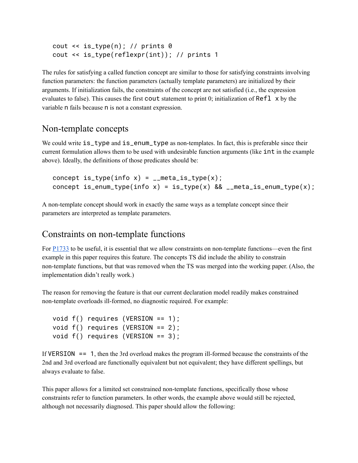```
cout \le is_type(n); // prints \thetacout << is_type(reflexpr(int)); // prints 1
```
The rules for satisfying a called function concept are similar to those for satisfying constraints involving function parameters: the function parameters (actually template parameters) are initialized by their arguments. If initialization fails, the constraints of the concept are not satisfied (i.e., the expression evaluates to false). This causes the first cout statement to print 0; initialization of Refl  $\times$  by the variable n fails because n is not a constant expression.

#### Non-template concepts

We could write  $is\_type$  and  $is\_enum\_type$  as non-templates. In fact, this is preferable since their current formulation allows them to be used with undesirable function arguments (like int in the example above). Ideally, the definitions of those predicates should be:

```
concept is_type(info x) = _{-}meta_is_type(x);
concept is_enum_type(info x) = is_type(x) && __meta_is_enum_type(x);
```
A non-template concept should work in exactly the same ways as a template concept since their parameters are interpreted as template parameters.

#### Constraints on non-template functions

For [P1733](https://wg21.link/p1733) to be useful, it is essential that we allow constraints on non-template functions—even the first example in this paper requires this feature. The concepts TS did include the ability to constrain non-template functions, but that was removed when the TS was merged into the working paper. (Also, the implementation didn't really work.)

The reason for removing the feature is that our current declaration model readily makes constrained non-template overloads ill-formed, no diagnostic required. For example:

```
void f() requires (VERSION == 1);
void f() requires (VERSION == 2);
void f() requires (VERSION == 3);
```
If VERSION == 1, then the 3rd overload makes the program ill-formed because the constraints of the 2nd and 3rd overload are functionally equivalent but not equivalent; they have different spellings, but always evaluate to false.

This paper allows for a limited set constrained non-template functions, specifically those whose constraints refer to function parameters. In other words, the example above would still be rejected, although not necessarily diagnosed. This paper should allow the following: